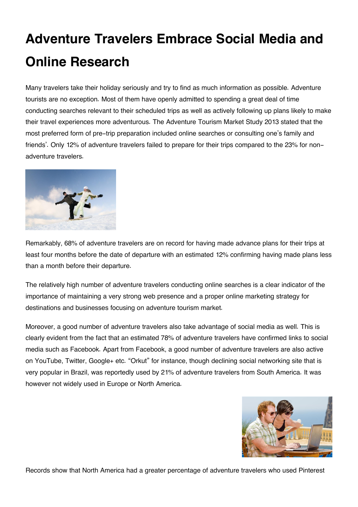## **Adventure Travelers Embrace Social Media and Online Research**

Many travelers take their holiday seriously and try to find as much information as possible. Adventure tourists are no exception. Most of them have openly admitted to spending a great deal of time conducting searches relevant to their scheduled trips as well as actively following up plans likely to make their travel experiences more adventurous. The Adventure Tourism Market Study 2013 stated that the most preferred form of pre-trip preparation included online searches or consulting one's family and friends'. Only 12% of adventure travelers failed to prepare for their trips compared to the 23% for nonadventure travelers.



Remarkably, 68% of adventure travelers are on record for having made advance plans for their trips at least four months before the date of departure with an estimated 12% confirming having made plans less than a month before their departure.

The relatively high number of adventure travelers conducting online searches is a clear indicator of the importance of maintaining a very strong web presence and a proper online marketing strategy for destinations and businesses focusing on adventure tourism market.

Moreover, a good number of adventure travelers also take advantage of social media as well. This is clearly evident from the fact that an estimated 78% of adventure travelers have confirmed links to social media such as Facebook. Apart from Facebook, a good number of adventure travelers are also active on YouTube, Twitter, Google+ etc. "Orkut" for instance, though declining social networking site that is very popular in Brazil, was reportedly used by 21% of adventure travelers from South America. It was however not widely used in Europe or North America.



Records show that North America had a greater percentage of adventure travelers who used Pinterest